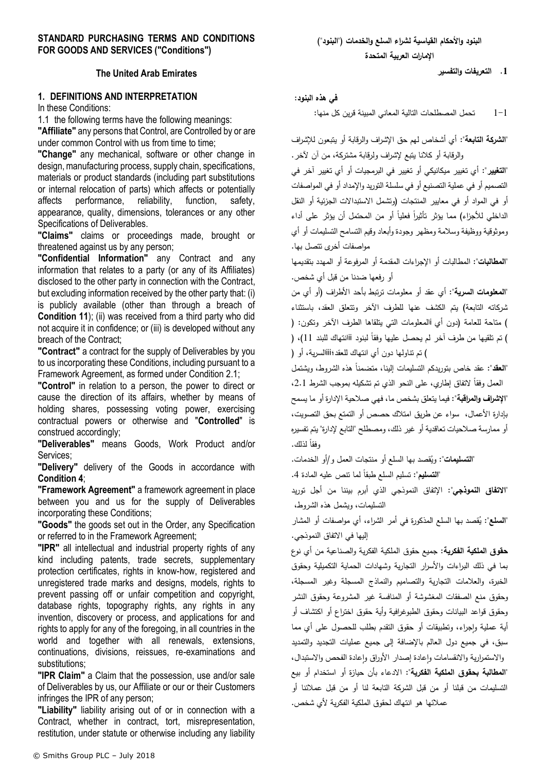## **STANDARD PURCHASING TERMS AND CONDITIONS FOR GOODS AND SERVICES ("Conditions")**

## **The United Arab Emirates**

## **1. DEFINITIONS AND INTERPRETATION**

In these Conditions:

1.1 the following terms have the following meanings: **"Affiliate"** any persons that Control, are Controlled by or are under common Control with us from time to time;

**"Change"** any mechanical, software or other change in design, manufacturing process, supply chain, specifications, materials or product standards (including part substitutions or internal relocation of parts) which affects or potentially affects performance, reliability, function, safety, appearance, quality, dimensions, tolerances or any other Specifications of Deliverables.

**"Claims"** claims or proceedings made, brought or threatened against us by any person;

**"Confidential Information"** any Contract and any information that relates to a party (or any of its Affiliates) disclosed to the other party in connection with the Contract, but excluding information received by the other party that: (i) is publicly available (other than through a breach of **Condition [11](#page-10-0)**); (ii) was received from a third party who did not acquire it in confidence; or (iii) is developed without any breach of the Contract;

**"Contract"** a contract for the supply of Deliverables by you to us incorporating these Conditions, including pursuant to a Framework Agreement, as formed under Condition [2.1;](#page-2-0) 

**"Control"** in relation to a person, the power to direct or cause the direction of its affairs, whether by means of holding shares, possessing voting power, exercising contractual powers or otherwise and "**Controlled**" is construed accordingly;

**"Deliverables"** means Goods, Work Product and/or Services;

**"Delivery"** delivery of the Goods in accordance with **Condition [4](#page-3-0)**;

**"Framework Agreement"** a framework agreement in place between you and us for the supply of Deliverables incorporating these Conditions;

**"Goods"** the goods set out in the Order, any Specification or referred to in the Framework Agreement;

**"IPR"** all intellectual and industrial property rights of any kind including patents, trade secrets, supplementary protection certificates, rights in know-how, registered and unregistered trade marks and designs, models, rights to prevent passing off or unfair competition and copyright, database rights, topography rights, any rights in any invention, discovery or process, and applications for and rights to apply for any of the foregoing, in all countries in the world and together with all renewals, extensions, continuations, divisions, reissues, re-examinations and substitutions;

**"IPR Claim"** a Claim that the possession, use and/or sale of Deliverables by us, our Affiliate or our or their Customers infringes the IPR of any person;

**"Liability"** liability arising out of or in connection with a Contract, whether in contract, tort, misrepresentation, restitution, under statute or otherwise including any liability **.1 التعريفات والتفسير**

### **في هذه البنود:**

1-1 تحمل المصطلحات التالية المعاني المبينة قرين كل منها:

**"الشركة التابعة":** أي أشخاص لهم حق اإلشراف والرقابة أو يتبعون لإلشراف والرقابة أو كالنا يتبع إلشراف ولرقابة مشتركة، من آن آلخر.

**"التغيير":** أي تغيير ميكانيكي أو تغيير في البرمجيات أو أي تغيير آخر في التصميم أو في عملية التصنيع أو في سلسلة التوريد واإلمداد أو في المواصفات أو في المواد أو في معايير المنتجات )وتشمل االستبداالت الجزئية أو النقل الداخلي للأجزاء) مما يؤثر تأثيرا فعليا أو من المحتمل أن يؤثر على أداء وموثوقية ووظيفة وسالمة ومظهر وجودة وأبعاد وقيم التسامح التسليمات أو أي مواصفات أخرى تتصل بها.

**"المطالبات"**: المطالبات أو اإلجراءات المقدمة أو المرفوعة أو المهدد بتقديمها أو رفعها ضدنا من قبل أي شخص.

**"المعلومات السرية"**: أي عقد أو معلومات ترتبط بأحد األطراف )أو أي من شركاته التابعة) يتم الكشف عنها للطرف الآخر وتتعلق العقد، باستثناء ) متاحة للعامة (دون أي iالمعلومات التي يتلقاها الطرف الآخر وتكون: ( ) نم تلقيها من طرف اخر لم يحصل عليها وفقا لبنود أأانتهاك للبند 11)، ( ( تم تناولها دون أي انتهاك للعقد؛iiiالسرية، أو )

"**العقد**": عقد خاص بتوريدكم التسليمات إلينا، متضمنا هذه الشروط، ويشتمل العمل وفقاً لاتفاق اِطاري، على النحو الذي تم تشكيله بموجب الشرط 2.1، **"اإلشراف والمراقبة"**: فيما يتعلق بشخص ما، فهي صالحية اإلدارة أو ما يسمح بإدارة األعمال، سواء عن طريق امتالك حصص أو التمتع بحق التصويت، أو ممارسة صالحيات تعاقدية أو غير ذلك، ومصطلح "التابع إلدارة" يتم تفسيره رفقا لذلك.

"**التسليمات**": ويُقصد بها السلع أو منتجات العمل و/أو الخدمات.

: تسليم السلع طبقا .4 ً **"التسليم"** لما تنص عليه المادة

**"االتفاق النموذجي"**: اإلتفاق النموذجي الذي أبرم بيننا من أجل توريد التسليمات، ويشمل هذه الشروط،

"**السلع**": يُقصد بـها السلـع المذكورة فـي أمر الشراء، أي مواصـفات أو المشار إليها في االتفاق النموذجي.

**حقوق الملكية الفكرية**: جميع حقوق الملكية الفكرية والصناعية من أي نوع بما في ذلك البراءات واألسرار التجارية وشهادات الحماية التكميلية وحقوق الخبرة، والعالمات التجارية والتصاميم والنماذج المسجلة وغير المسجلة، وحقوق منع الصفقات المغشوشة أو المنافسة غير المشروعة وحقوق النشر وحقوق قواعد البيانات وحقوق الطبوغرافية وأية حقوق اختراع أو اكتشاف أو ُية عملية وإجراء، وتطبيقات أو حقوق النقدم بطلب للحصول على أي مما سبق، في جميع دول العالم باإلضافة إلى جميع عمليات التجديد والتمديد والاستمرارية والانقسامات واعادة إصدار الأوراق واعادة الفحص والاستبدال، **"المطالبة بحقوق الملكية الفكرية"**: االدعاء بأن حيازة أو استخدام أو بيع التسليمات من قبلنا أو من قبل الشركة التابعة لنا أو من قبل عمالئنا أو عمالئها هو انتهاك لحقوق الملكية الفكرية ألي شخص.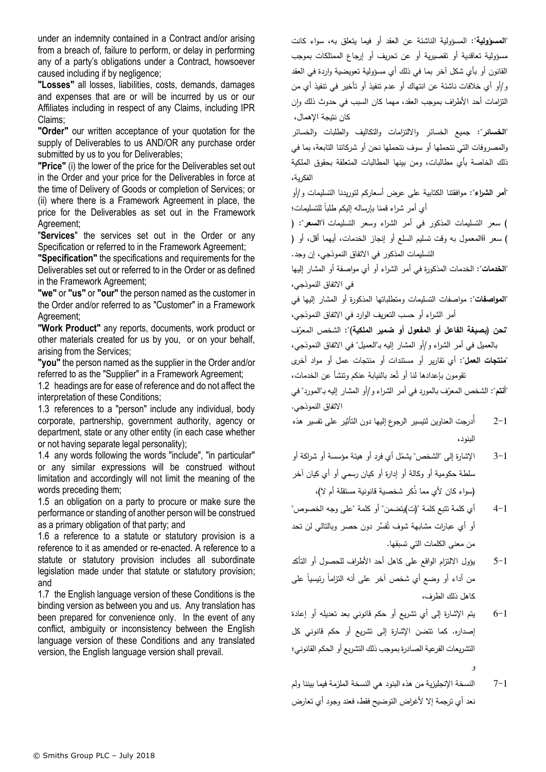under an indemnity contained in a Contract and/or arising from a breach of, failure to perform, or delay in performing any of a party's obligations under a Contract, howsoever caused including if by negligence;

**"Losses"** all losses, liabilities, costs, demands, damages and expenses that are or will be incurred by us or our Affiliates including in respect of any Claims, including IPR Claims;

**"Order"** our written acceptance of your quotation for the supply of Deliverables to us AND/OR any purchase order submitted by us to you for Deliverables;

**"Price"** (i) the lower of the price for the Deliverables set out in the Order and your price for the Deliverables in force at the time of Delivery of Goods or completion of Services; or (ii) where there is a Framework Agreement in place, the price for the Deliverables as set out in the Framework Agreement;

"**Services**" the services set out in the Order or any Specification or referred to in the Framework Agreement:

**"Specification"** the specifications and requirements for the Deliverables set out or referred to in the Order or as defined in the Framework Agreement;

**"we"** or **"us"** or **"our"** the person named as the customer in the Order and/or referred to as "Customer" in a Framework Agreement;

**"Work Product"** any reports, documents, work product or other materials created for us by you, or on your behalf, arising from the Services;

**"you"** the person named as the supplier in the Order and/or referred to as the "Supplier" in a Framework Agreement;

1.2 headings are for ease of reference and do not affect the interpretation of these Conditions;

1.3 references to a "person" include any individual, body corporate, partnership, government authority, agency or department, state or any other entity (in each case whether or not having separate legal personality);

1.4 any words following the words "include", "in particular" or any similar expressions will be construed without limitation and accordingly will not limit the meaning of the words preceding them;

1.5 an obligation on a party to procure or make sure the performance or standing of another person will be construed as a primary obligation of that party; and

1.6 a reference to a statute or statutory provision is a reference to it as amended or re-enacted. A reference to a statute or statutory provision includes all subordinate legislation made under that statute or statutory provision; and

1.7 the English language version of these Conditions is the binding version as between you and us. Any translation has been prepared for convenience only. In the event of any conflict, ambiguity or inconsistency between the English language version of these Conditions and any translated version, the English language version shall prevail.

**"المسؤولية"**: المسؤولية الناشئة عن العقد أو فيما يتعلق به، سواء كانت مسؤولية تعاقدية أو تقصيرية أو عن تحريف أو إرجاع الممتلكات بموجب القانون أو بأي شكل آخر بما في ذلك أي مسؤولية تعويضية واردة في العقد و/أو أي خالفات ناشئة عن انتهاك أو عدم تنفيذ أو تأخير في تنفيذ أي من لتزامات أحد الأطراف بموجب العقد، مهما كان السبب في حدوث ذلك وإن كان نتيجة اإلهمال،

**"الخسائر"**: جميع الخسائر وااللتزامات والتكاليف والطلبات والخسائر والمصروفات التي نتحملها أو سوف نتحملها نحن أو شركاتنا التابعة، بما في ذلك الخاصة بأي مطالبات، و من بينها المطالبات المتعلقة بحقوق الملكية الفكرية،

**"أمر الشراء"**: موافقتنا الكتابية على عرض أسعاركم لتوريدنا التسليمات و/أو أي أمر شراء قمنا بإرساله إليكم طلبا للتسليمات؛

( سعر التسليمات المذكور في أمر الشراء وسعر التسليمات i**"السعر"**: ) ( سعر iiالمعمول به وقت تسليم السلع أو إنجاز الخدمات، أيهما أقل، أو ) التسليمات المذكور في االتفاق النموذجي، إن وجد.

**"الخدمات"**: الخدمات المذكورة في أمر الشراء أو أي مواصفة أو المشار إليها في االتفاق النموذجي،

**"المواصفات"**: مواصفات التسليمات ومتطلباتها المذكورة أو المشار إليها في أمر الشراء أو حسب التعريف الوارد في االتفاق النموذجي،

<mark>تحن (بصيغة الفاعل أو المفعول أو ضمير الملكية)</mark>": الشخص المعرّف بالعميل في أمر الشراء و/أو المشار إليه بـ"العميل" في االتفاق النموذجي،

**"منتجات العمل"**: أي تقارير أو مستندات أو منتجات عمل أو مواد أخرى تقومون بإعدادها لنا أو تُعد بالنيابة عنكم ونتشأ عن الخدمات،

"**أنتم**": الشخص المعرّف بالمورد في أمر الشراء و/أو المشار إليه بـ"المورد" في االتفاق النموذجي.

- 2-1 أُدرجت العناوين لتيسير الرجوع إليها دون التأثير على تفسير هذه البنو د،
- 3−1 الإشارة إلى "الشخص" يشمُل أي فرد أو هيئة مؤسسة أو شراكة أو سلطة حكومية أو وكالة أو إدارة أو كيان رسمي أو أي كيان آخر (سواء كان لأي مما ذكر شخصية قانونية مستقلة أم لا)،
- 4-1 أي كلمة تتبع كلمة ")ت(يتضمن" أو كلمة "على وجه الخصوص" اُو أي عبارات مشابـهة شوف تُفسَّر دون حصـر وبالتالـي لن تحد من معنى الكلمات التي تسبقها.
- 5-1 يؤول االلتزام الواقع على كاهل أحد األطراف للحصول أو التأكد من أداء أو وضع أي شخص أخر على أنه النتزاما رئيسيا على كاهل ذلك الطرف،
- 6-1 يتم اإلشارة إلى أي تشريع أو حكم قانوني بعد تعديله أو إعادة إصداره. كما تتضن اإلشارة إلى تشريع أو حكم قانوني كل التشريعات الفرعية الصادرة بموجب ذلك التشريع أو الحكم القانوني؛ و
- 7-1 النسخة اإلنجليزية من هذه البنود هي النسخة الملزمة فيما بيننا ولم نعد أي ترجمة إال ألغراض التوضيح فقط، فعند وجود أي تعارض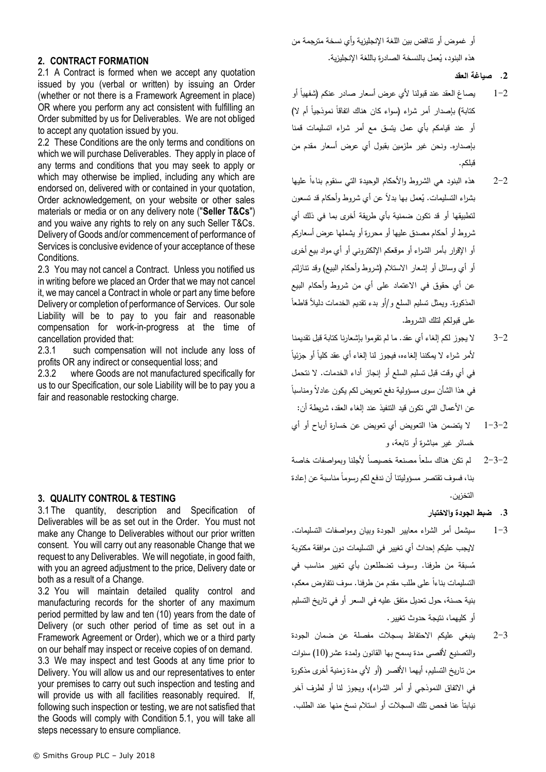أو غموض أو تناقض بين اللغة اإلنجليزية وأي نسخة مترجمة من هذه البنود، يُعمل بالنسخة الصادرة باللغة الإنجليزية.

#### **.2 صياغة العقد**

- 1–2 يصاغ العقد عند قبولنا لأي عرض أسعار صادر عنكم (شفهيا أو كتابة) بإصدار أمر شراء (سواء كان هناك اتفاقا نموذجيا أم لا) أو عند قيامكم بأي عمل يتسق مع أمر شراء اتسليمات قمنا بإصداره. ونحن غير ملزمين بقبول أي عرض أسعار مقدم من قبلكم.
- 2–2 ٪ هذه البنود هي الشروط والأحكام الوحيدة التي سنقوم بناءا عليها بشراء التسليمات. يُعمل بـها بدلًا عن أي شروط وأحكام قد تسعون لتطبيقها أو قد تكون ضمنية بأي طريقة أخرى بما في ذلك أي شروط أو أحكام مصدق عليها أو محررة أو يشملها عرض أسعاركم أو اإلقرار بأمر الشراء أو موقعكم اإللكتروني أو أي مواد بيع أخرى أو أي وسائل أو إشعار االستالم )شروط وأحكام البيع( وقد تنازلتم عن أي حقوق في االعتماد على أي من شروط وأحكام البيع المذكورة. ويمثل تسليم السلع و/أو بدء تقديم الخدمات دليلا قاطعا على قبولكم لتلك الشروط.
- 3-2 ال يجوز لكم إلغاء أي عقد. ما لم تقوموا بإشعارنا كتابة قبل تقديمنا لأمر شراء لا يمكننا الغاءه، فيجوز لنا الِغاء أي عقد كليا أو جزئيا في أي وقت قبل تسليم السلع أو إنجاز أداء الخدمات. ال نتحمل ً في هذا الشأن سوى مسؤولية دفع تعويض لكم يكون عادالً ومناسبا عن الأعمال التي تكون قيد التتفيذ عند إلغاء العقد، شريطة أن:
- 1-3-2 ال يتضمن هذا التعويض أي تعويض عن خسارة أرباح أو أي خسائر غير مباشرة أو تابعة، و
- 2–3–2 لم تكن هناك سلعا مصنعة خصيصا لأجلنا وبمواصفات خاصة بنا، فسوف تقتصر مسؤوليتنا أن ندفع لكم رسوما مناسبة عن إعادة التخزين.
	- **.3 ضبط الجودة واالختبار**
- 1-3 سيشمل أمر الشراء معايير الجودة وبيان ومواصفات التسليمات. اليجب عليكم إحداث أي تغيير في التسليمات دون موافقة مكتوبة سبقة من طرفنا. وسوف تضطلعون بأي تغيير مناسب في ُ م التسليمات بناءا على طلب مقدم من طرفنا. سوف نتفاوض معكم، بنية حسنة، حول تعديل متفق عليه في السعر أو في تاريخ التسليم أو كليهما، نتيجة حدوث تغيير.
- 2-3 ينبغي عليكم االحتفاظ بسجالت مفصلة عن ضمان الجودة والتصنيع ألقصى مدة يسمح بها القانون ولمدة عشر)10( سنوات من تاريخ التسليم، أيهما الأقصر (أو لأي مدة زمنية أخرى مذكورة في الاتفاق النموذجي أو أمر الشراء)، ويجوز لنا أو لطرف آخر نيابنا عنا فحص تلك السجلات أو استلام نسخ منها عند الطلب.

## **2. CONTRACT FORMATION**

<span id="page-2-0"></span>2.1 A Contract is formed when we accept any quotation issued by you (verbal or written) by issuing an Order (whether or not there is a Framework Agreement in place) OR where you perform any act consistent with fulfilling an Order submitted by us for Deliverables. We are not obliged to accept any quotation issued by you.

2.2 These Conditions are the only terms and conditions on which we will purchase Deliverables. They apply in place of any terms and conditions that you may seek to apply or which may otherwise be implied, including any which are endorsed on, delivered with or contained in your quotation, Order acknowledgement, on your website or other sales materials or media or on any delivery note ("**Seller T&Cs**") and you waive any rights to rely on any such Seller T&Cs. Delivery of Goods and/or commencement of performance of Services is conclusive evidence of your acceptance of these **Conditions** 

2.3 You may not cancel a Contract. Unless you notified us in writing before we placed an Order that we may not cancel it, we may cancel a Contract in whole or part any time before Delivery or completion of performance of Services. Our sole Liability will be to pay to you fair and reasonable compensation for work-in-progress at the time of cancellation provided that:

2.3.1 such compensation will not include any loss of profits OR any indirect or consequential loss; and

2.3.2 where Goods are not manufactured specifically for us to our Specification, our sole Liability will be to pay you a fair and reasonable restocking charge.

# **3. QUALITY CONTROL & TESTING**

3.1 The quantity, description and Specification of Deliverables will be as set out in the Order. You must not make any Change to Deliverables without our prior written consent. You will carry out any reasonable Change that we request to any Deliverables. We will negotiate, in good faith, with you an agreed adjustment to the price. Delivery date or both as a result of a Change.

3.2 You will maintain detailed quality control and manufacturing records for the shorter of any maximum period permitted by law and ten (10) years from the date of Delivery (or such other period of time as set out in a Framework Agreement or Order), which we or a third party on our behalf may inspect or receive copies of on demand.

3.3 We may inspect and test Goods at any time prior to Delivery. You will allow us and our representatives to enter your premises to carry out such inspection and testing and will provide us with all facilities reasonably required. If, following such inspection or testing, we are not satisfied that the Goods will comply with Condition [5.1,](#page-4-0) you will take all steps necessary to ensure compliance.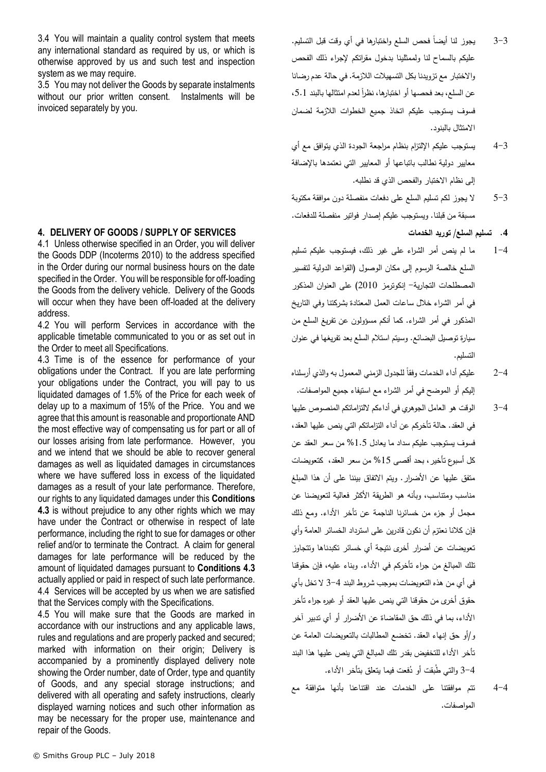3.4 You will maintain a quality control system that meets any international standard as required by us, or which is otherwise approved by us and such test and inspection system as we may require.

3.5 You may not deliver the Goods by separate instalments without our prior written consent. Instalments will be invoiced separately by you.

## <span id="page-3-0"></span>**4. DELIVERY OF GOODS / SUPPLY OF SERVICES**

4.1 Unless otherwise specified in an Order, you will deliver the Goods DDP (Incoterms 2010) to the address specified in the Order during our normal business hours on the date specified in the Order. You will be responsible for off-loading the Goods from the delivery vehicle. Delivery of the Goods will occur when they have been off-loaded at the delivery address.

4.2 You will perform Services in accordance with the applicable timetable communicated to you or as set out in the Order to meet all Specifications.

<span id="page-3-1"></span>4.3 Time is of the essence for performance of your obligations under the Contract. If you are late performing your obligations under the Contract, you will pay to us liquidated damages of 1.5% of the Price for each week of delay up to a maximum of 15% of the Price. You and we agree that this amount is reasonable and proportionate AND the most effective way of compensating us for part or all of our losses arising from late performance. However, you and we intend that we should be able to recover general damages as well as liquidated damages in circumstances where we have suffered loss in excess of the liquidated damages as a result of your late performance. Therefore, our rights to any liquidated damages under this **Conditions [4.3](#page-3-1)** is without prejudice to any other rights which we may have under the Contract or otherwise in respect of late performance, including the right to sue for damages or other relief and/or to terminate the Contract. A claim for general damages for late performance will be reduced by the amount of liquidated damages pursuant to **Conditions [4.3](#page-3-1)** actually applied or paid in respect of such late performance. 4.4 Services will be accepted by us when we are satisfied that the Services comply with the Specifications.

4.5 You will make sure that the Goods are marked in accordance with our instructions and any applicable laws, rules and regulations and are properly packed and secured; marked with information on their origin; Delivery is accompanied by a prominently displayed delivery note showing the Order number, date of Order, type and quantity of Goods, and any special storage instructions; and delivered with all operating and safety instructions, clearly displayed warning notices and such other information as may be necessary for the proper use, maintenance and repair of the Goods.

- 3–3 ٪ يجوز لنا أيضا فحص السلع واختبارها في أي وقت قبل التسليم. عليكم بالسماح لنا ولممثلينا بدخول مقراتكم إلجراء ذلك الفحص واالختبار مع تزويدنا بكل التسهيالت الالزمة. في حالة عدم رضانا عن السلع، بعد فحصمها أو اختبارها، نظرا لعدم امتثالها بالبند 5.1، فسوف يستوجب عليكم اتخاذ جميع الخطوات الالزمة لضمان االمتثال بالبنود.
- 4-3 يستوجب عليكم اإللتزام بنظام مراجعة الجودة الذي يتوافق مع أي معايير دولية نطالب باتباعها أو المعايير التي نعتمدها باإلضافة إلى نظام االختبار والفحص الذي قد نطلبه.
- 5-3 ال يجوز لكم تسليم السلع على دفعات منفصلة دون موافقة مكتوبة مسبقة من قبلنا. ويستوجب عليكم إصدار فواتير منفصلة للدفعات.

**.4 تسليم السلع/ توريد الخدمات**

- 1-4 ما لم ينص أمر الشراء على غير ذلك، فيستوجب عليكم تسليم السلع خالصة الرسوم إلى مكان الوصول )القواعد الدولية لتفسير المصطلحات التجارية- إنكوترمز 2010( على العنوان المذكور في أمر الشراء خالل ساعات العمل المعتادة بشركتنا وفي التاريخ المذكور في أمر الشراء. كما أنكم مسؤولون عن تفريغ السلع من سيارة توصيل البضائع. وسيتم استالم السلع بعد تفريغها في عنوان التسليم.
- 2–2  $\,$  عليكم أداء الخدمات وفقا للجدول الزمني المعمول به والذي أرسلناه إليكم أو الموضح في أمر الشراء مع استيفاء جميع المواصفات.
- 3-4 الوقت هو العامل الجوهري في أداءكم اللتزاماتكم المنصوص عليها في العقد. حالة تأخركم عن أداء التزاماتكم التي ينص عليها العقد، فسوف يستوجب عليكم سداد ما يعادل %1.5 من سعر العقد عن كل أسبوع تأخير، بحد أقصى %15 من سعر العقد، كتعويضات متفق عليها عن األضرار. ويتم االتفاق بيننا على أن هذا المبلغ مناسب ومنتاسب، وبأنه هو الطريقة الأكثر فعالية لتعويضنا عن مجمل أو جزء من خسائرنا الناجمة عن تأخر األداء. ومع ذلك فإن كالنا نعتزم أن نكون قادرين على استرداد الخسائر العامة وأي تعويضات عن أضرار أخرى نتيجة أي خسائر تكبدناها وتتجاوز تلك المبالغ من جراء تأخركم في األداء. وبناء عليه، فإن حقوقنا في أي من هذه التعويضات بموجب شروط البند 3-4 ال تخل بأي حقوق أخرى من حقوقنا التي ينص عليها العقد أو غيره جراء تأخر األداء، بما في ذلك حق المقاضاة عن األضرار أو أي تدبير آخر و/أو حق إنهاء العقد. تخضع المطالبات بالتعويضات العامة عن تأخر األداء للتخفيض بقدر تلك المبالغ التي ينص عليها هذا البند 3–4 والتي طبقت أو دُفعت فيما يتعلق بتأخر الأداء.
- 4-4 تتم موافقتنا على الخدمات عند اقتناعنا بأنها متوافقة مع المواصفات.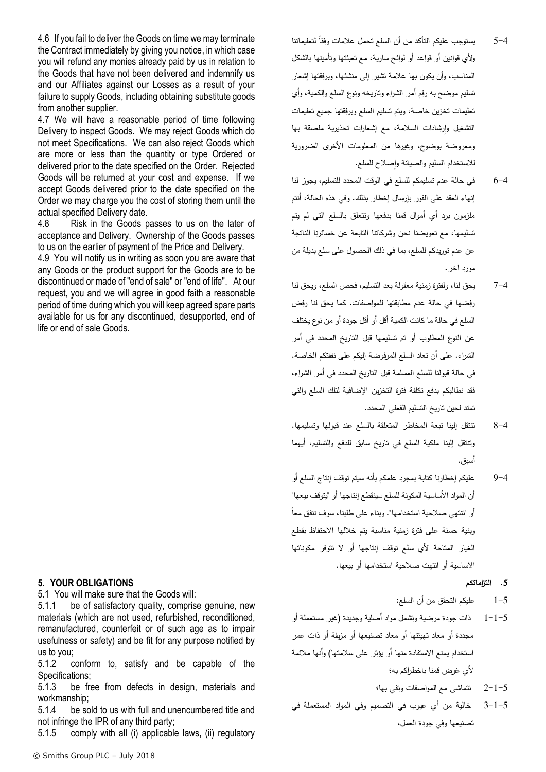4.6 If you fail to deliver the Goods on time we may terminate the Contract immediately by giving you notice, in which case you will refund any monies already paid by us in relation to the Goods that have not been delivered and indemnify us and our Affiliates against our Losses as a result of your failure to supply Goods, including obtaining substitute goods from another supplier.

4.7 We will have a reasonable period of time following Delivery to inspect Goods. We may reject Goods which do not meet Specifications. We can also reject Goods which are more or less than the quantity or type Ordered or delivered prior to the date specified on the Order. Rejected Goods will be returned at your cost and expense. If we accept Goods delivered prior to the date specified on the Order we may charge you the cost of storing them until the actual specified Delivery date.

4.8 Risk in the Goods passes to us on the later of acceptance and Delivery. Ownership of the Goods passes to us on the earlier of payment of the Price and Delivery.

4.9 You will notify us in writing as soon you are aware that any Goods or the product support for the Goods are to be discontinued or made of "end of sale" or "end of life". At our request, you and we will agree in good faith a reasonable period of time during which you will keep agreed spare parts available for us for any discontinued, desupported, end of life or end of sale Goods.

# **5. YOUR OBLIGATIONS**

<span id="page-4-0"></span>5.1 You will make sure that the Goods will:

5.1.1 be of satisfactory quality, comprise genuine, new materials (which are not used, refurbished, reconditioned, remanufactured, counterfeit or of such age as to impair usefulness or safety) and be fit for any purpose notified by us to you;

5.1.2 conform to, satisfy and be capable of the Specifications;

5.1.3 be free from defects in design, materials and workmanship;

5.1.4 be sold to us with full and unencumbered title and not infringe the IPR of any third party;

5.1.5 comply with all (i) applicable laws, (ii) regulatory

- 5–5 يستوجب عليكم الناكد من أن السلع تحمل علامات وفقا لتعليماتنا وألي قوانين أو قواعد أو لوائح سارية، مع تعبئتها وتأمينها بالشكل المناسب، وأن يكون بها عالمة تشير إلى منشئها، وبرفقتها إشعار تسليم موضح به رقم أمر الشراء وتاريخه ونوع السلع والكمية، وأي تعليمات تخزين خاصة، ويتم تسليم السلع وبرفقتها جميع تعليمات التشغيل وإرشادات السلامة، مع إشعارات تحذيرية ملصقة بها ومعروضة بوضوح، وغيرها من المعلومات األخرى الضرورية للاستخدام السليم والصيانة وإصلاح للسلع.
- 6-4 في حالة عدم تسليمكم للسلع في الوقت المحدد للتسليم، يجوز لنا إنهاء العقد على الفور بإرسال إخطار بذلك. وفي هذه الحالة، أنتم ملزمون برد أي أموال قمنا بدفعها وتتعلق بالسلع التي لم يتم تسليمها، مع تعويضنا نحن وشركاتنا التابعة عن خسائرنا الناتجة عن عدم توريدكم للسلع، بما في ذلك الحصول على سلع بديلة من مورد آخر.
- 7-4 يحق لنا، ولفترة زمنية معقولة بعد التسليم، فحص السلع، ويحق لنا رفضها في حالة عدم مطابقتها للمواصفات. كما يحق لنا رفض السلع في حالة ما كانت الكمية أقل أو أقل جودة أو من نوع يختلف عن النوع المطلوب أو تم تسليمها قبل التاريخ المحدد في أمر الشراء. على أن تعاد السلع المرفوضة إليكم على نفقتكم الخاصة. في حالة قبولنا للسلع المسلمة قبل التاريخ المحدد في أمر الشراء، فقد نطالبكم بدفع تكلفة فترة التخزين اإلضافية لتلك السلع والتي تمتد لحين تاريخ التسليم الفعلي المحدد.
- 8-4 تنتقل إلينا تبعة المخاطر المتعلقة بالسلع عند قبولها وتسليمها. وتنتقل إلينا ملكية السلع في تاريخ سابق للدفع والتسليم، أيهما أسبق.
- 9-4 عليكم إخطارنا كتابة بمجرد علمكم بأنه سيتم توقف إنتاج السلع أو أن المواد الأساسية المكونة للسلع سينقطع إنتاجها أو "يتوقف بيعها" ً أو "تنتهي صالحية استخدامها". وبناء على طلبنا، سوف نتفق معا وبنية حسنة على فترة زمنية مناسبة يتم خاللها االحتفاظ بقطع الغيار المتاحة ألي سلع توقف إنتاجها أو ال تتوفر مكوناتها االساسية أو انتهت صالحية استخدامها أو بيعها.
	- **.5 التزاماتكم**
	- 1-5 عليكم التحقق من أن السلع:
- 1-1-5 ذات جودة مرضية وتشمل مواد أصلية وجديدة )غير مستعملة أو مجددة أو معاد تهيئتها أو معاد تصنيعها أو مزيفة أو ذات عمر استخدام يمنع الاستفادة منها أو يؤثر على سلامتها) وأنها ملائمة ألي غرض قمنا باخطراكم به؛
	- 2-1-5 تتماشى مع المواصفات وتفي بها؛
- 3-1-5 خالية من أي عيوب في التصميم وفي المواد المستعملة في تصنيعها وفي جودة العمل،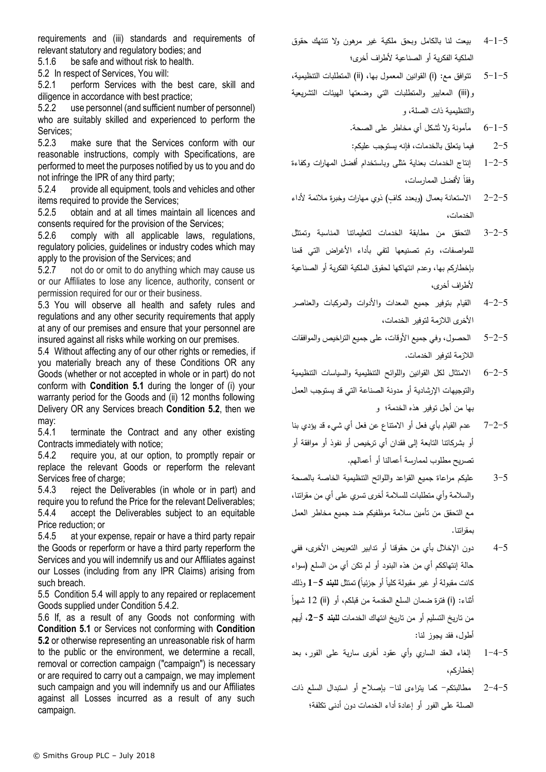requirements and (iii) standards and requirements of relevant statutory and regulatory bodies; and

5.1.6 be safe and without risk to health.

<span id="page-5-0"></span>5.2 In respect of Services, You will:

5.2.1 perform Services with the best care, skill and diligence in accordance with best practice;

5.2.2 use personnel (and sufficient number of personnel) who are suitably skilled and experienced to perform the Services;

5.2.3 make sure that the Services conform with our reasonable instructions, comply with Specifications, are performed to meet the purposes notified by us to you and do not infringe the IPR of any third party;

5.2.4 provide all equipment, tools and vehicles and other items required to provide the Services;

5.2.5 obtain and at all times maintain all licences and consents required for the provision of the Services;

5.2.6 comply with all applicable laws, regulations, regulatory policies, guidelines or industry codes which may apply to the provision of the Services; and

5.2.7 not do or omit to do anything which may cause us or our Affiliates to lose any licence, authority, consent or permission required for our or their business.

5.3 You will observe all health and safety rules and regulations and any other security requirements that apply at any of our premises and ensure that your personnel are insured against all risks while working on our premises.

<span id="page-5-1"></span>5.4 Without affecting any of our other rights or remedies, if you materially breach any of these Conditions OR any Goods (whether or not accepted in whole or in part) do not conform with **Condition [5.1](#page-4-0)** during the longer of (i) your warranty period for the Goods and (ii) 12 months following Delivery OR any Services breach **Condition [5.2](#page-5-0)**, then we may:

5.4.1 terminate the Contract and any other existing Contracts immediately with notice;

<span id="page-5-2"></span>5.4.2 require you, at our option, to promptly repair or replace the relevant Goods or reperform the relevant Services free of charge:

5.4.3 reject the Deliverables (in whole or in part) and require you to refund the Price for the relevant Deliverables; 5.4.4 accept the Deliverables subject to an equitable Price reduction; or

5.4.5 at your expense, repair or have a third party repair the Goods or reperform or have a third party reperform the Services and you will indemnify us and our Affiliates against our Losses (including from any IPR Claims) arising from such breach.

5.5 Condition [5.4](#page-5-1) will apply to any repaired or replacement Goods supplied under Condition [5.4.2.](#page-5-2)

5.6 If, as a result of any Goods not conforming with **Condition [5.1](#page-4-0)** or Services not conforming with **Condition [5.2](#page-5-0)** or otherwise representing an unreasonable risk of harm to the public or the environment, we determine a recall, removal or correction campaign ("campaign") is necessary or are required to carry out a campaign, we may implement such campaign and you will indemnify us and our Affiliates against all Losses incurred as a result of any such campaign.

- 4-1-5 بيعت لنا بالكامل وبحق ملكية غير مرهون وال تنتهك حقوق الملكية الفكرية أو الصناعية ألطراف أخرى؛
- 5-1-5 تتوافق مع: )i )القوانين المعمول بها، )ii )المتطلبات التنظيمية، و)iii )المعايير والمتطلبات التي وضعتها الهيئات التشريعية والتنظيمية ذات الصلة، و
	- ُشكل أي مخاطر على الصحة. 6-1-5 مأمونة وال ت

2-5 فيما يتعلق بالخدمات، فإنه يستوجب عليكم:

- 1–2−5 إنتاج الخدمات بعناية مُثلـى وباستخدام أفضل المهارات وكفاءة وفقا لأفضل الممارسات،
- 2-2-5 الاستعانة بعمال (وبعدد كافٍ) ذوي مهارات وخبرة ملائمة لأداء الخدمات،
- 3-2-5 التحقق من مطابقة الخدمات لتعليماتنا المناسبة وتمتثل للمواصفات، وتم تصنيعها لتفي بأداء األغراض التي قمنا بإخطاركم بها، وعدم انتهاكها لحقوق الملكية الفكرية أو الصناعية ألطراف أخرى،
- 4-2-5 القيام بتوفير جميع المعدات واألدوات والمركبات والعناصر األخرى الالزمة لتوفير الخدمات،
- 5-2-5 الحصول، وفي جميع األوقات، على جميع التراخيص والموافقات الالزمة لتوفير الخدمات.
- 6-2-5 االمتثال لكل القوانين واللوائح التنظيمية والسياسات التنظيمية والتوجيهات اإلرشادية أو مدونة الصناعة التي قد يستوجب العمل بها من أجل توفير هذه الخدمة؛ و
- 7-2-5 عدم القيام بأي فعل أو االمتناع عن فعل أي شيء قد يؤدي بنا أو بشركاتنا التابعة إلى فقدان أي ترخيص أو نفوذ أو موافقة أو تصريح مطلوب لممارسة أعمالنا أو أعمالهم.
- 3-5 عليكم مراعاة جميع القواعد واللوائح التنظيمية الخاصة بالصحة والسالمة وأي متطلبات للسالمة أخرى تسري على أي من مقراتنا، مع التحقق من تأمين سالمة موظفيكم ضد جميع مخاطر العمل بمقراتنا.
- 4-5 دون اإلخالل بأي من حقوقنا أو تدابير التعويض األخرى، ففي حالة إنتهاككم أي من هذه البنود أو لم تكن أي من السلع )سواء كانت مقبولـة أو غير مقبولـة كليا أو جزئيا) تمتثل **للبند 5**−1 وذلك أثناء: (i) فترة ضمان السلع المقدمة من قبلكم، أو (ii) 12 شهراً من تاريخ التسليم أو من تاريخ انتهاك الخدمات **للبند** ،**2-5** أيهم أطول، فقد يجوز لنا:
- 1-4-5 إلغاء العقد الساري وأي عقود أخرى سارية على الفور، بعد إخطاركم،
- 2-4-5 مطالبتكم- كما يتراءى لنا- بإصالح أو استبدال السلع ذات الصلة على الفور أو إعادة أداء الخدمات دون أدنى تكلفة؛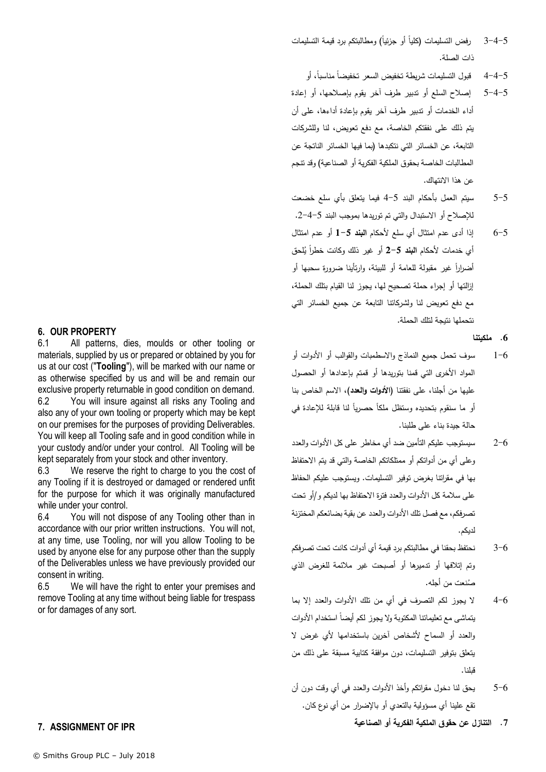- 5–4 $\sim$  رفض التسليمات (كليا أو جزئيا) ومطالبتكم برد قيمة التسليمات ذات الصلة.
	- 5–4–4 قبول التسليمات شريطة تخفيض السعر تخفيضا مناسبا، أو
- 5-4-5 إصالح السلع أو تدبير طرف آخر يقوم بإصالحها، أو إعادة أداء الخدمات أو تدبير طرف آخر يقوم بإعادة أداءها، على أن يتم ذلك على نفقتكم الخاصة، مع دفع تعويض، لنا وللشركات التابعة، عن الخسائر التي نتكبدها )بما فيها الخسائر الناتجة عن المطالبات الخاصة بحقوق الملكية الفكرية أو الصناعية) وقد تتجم عن هذا االنتهاك.
- 5-5 سيتم العمل بأحكام البند 4-5 فيما يتعلق بأي سلع خضعت لإلصالح أو االستبدال والتي تم توريدها بموجب البند .2-4-5
- 6-5 إذا أدى عدم امتثال أي سلع ألحكام **البند 1-5** أو عدم امتثال أي خدمات لأحكام ا**لبند 5**–2 أو غير ذلك وكانت خطرا يُلحق أضراراً غير مقولة للعامة أو للبيئة، وارتأينا ضرورة سحبها أو إزالتها أو إجراء حملة تصحيح لها، يجوز لنا القيام بتلك الحملة، مع دفع تعويض لنا ولشركاتنا التابعة عن جميع الخسائر التي نتحملها نتيجة لتلك الحملة.

## **.6 ملكيتنا**

- 1-6 سوف تحمل جميع النماذج واالسطمبات والقوالب أو األدوات أو المواد الأخرى التي قمنا بتوريدها أو قمتم بإعدادها أو الحصول عليها من أجلنا، على نفقتنا )**األدوات والعدد**(، االسم الخاص بنا أو ما سنقوم بتحديده وستظل ملكا حصريا لنا قابلة للإعادة في حالة جيدة بناء على طلبنا.
- 2-6 سيستوجب عليكم التأمين ضد أي مخاطر على كل األدوات والعدد وعلى أي من أدواتكم أو ممتلكاتكم الخاصة والتي قد يتم االحتفاظ بها في مقراتنا بغرض توفير التسليمات. ويستوجب عليكم الحفاظ على سالمة كل األدوات والعدد فترة االحتفاظ بها لديكم و/أو تحت تصرفكم، مع فصل تلك األدوات والعدد عن بقية بضائعكم المختزنة لديكم.
- 3-6 نحتفظ بحقنا في مطالبتكم برد قيمة أي أدوات كانت تحت تصرفكم وتم إتالفها أو تدميرها أو أصبحت غير مالئمة للغرض الذي ُصنعت من أجله.
- 4-6 ال يجوز لكم التصرف في أي من تلك األدوات والعدد إال بما بتماشى مع تعليماتنا المكتوبة ولا يجوز لكم أيضا استخدام الأدوات والعدد أو السماح ألشخاص آخرين باستخدامها ألي غرض ال يتعلق بتوفير التسليمات، دون موافقة كتابية مسبقة على ذلك من قبلنا.
- 5-6 يحق لنا دخول مقراتكم وأخذ األدوات والعدد في أي وقت دون أن تقع علينا أي مسؤولية بالتعدي أو باإلضرار من أي نوع كان.

**.7 التنازل عن حقوق الملكية الفكرية أو الصناعية**

## **6. OUR PROPERTY**

6.1 All patterns, dies, moulds or other tooling or materials, supplied by us or prepared or obtained by you for us at our cost ("**Tooling**"), will be marked with our name or as otherwise specified by us and will be and remain our exclusive property returnable in good condition on demand. 6.2 You will insure against all risks any Tooling and also any of your own tooling or property which may be kept on our premises for the purposes of providing Deliverables. You will keep all Tooling safe and in good condition while in your custody and/or under your control. All Tooling will be kept separately from your stock and other inventory.

6.3 We reserve the right to charge to you the cost of any Tooling if it is destroyed or damaged or rendered unfit for the purpose for which it was originally manufactured while under your control.

6.4 You will not dispose of any Tooling other than in accordance with our prior written instructions. You will not, at any time, use Tooling, nor will you allow Tooling to be used by anyone else for any purpose other than the supply of the Deliverables unless we have previously provided our consent in writing.

6.5 We will have the right to enter your premises and remove Tooling at any time without being liable for trespass or for damages of any sort.

# <span id="page-6-0"></span>**7. ASSIGNMENT OF IPR**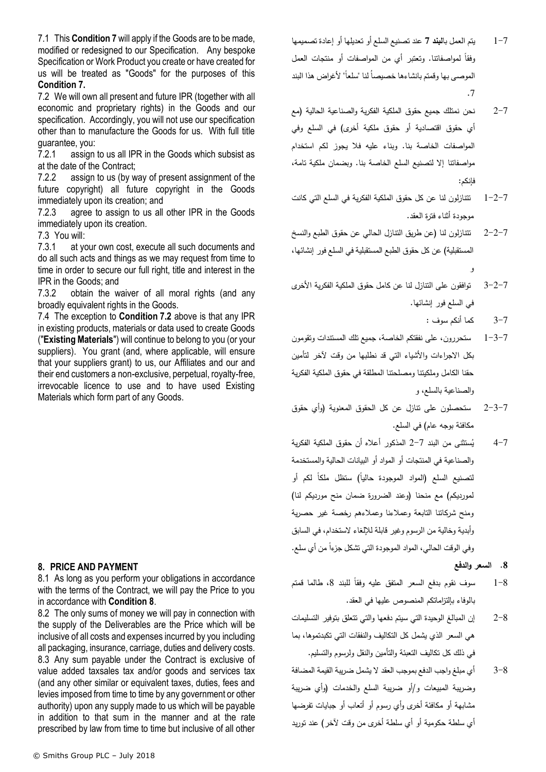7.1 This **Conditio[n 7](#page-6-0)** will apply if the Goods are to be made, modified or redesigned to our Specification. Any bespoke Specification or Work Product you create or have created for us will be treated as "Goods" for the purposes of this **Condition [7.](#page-6-0)**

<span id="page-7-0"></span>7.2 We will own all present and future IPR (together with all economic and proprietary rights) in the Goods and our specification. Accordingly, you will not use our specification other than to manufacture the Goods for us. With full title guarantee, you:

7.2.1 assign to us all IPR in the Goods which subsist as at the date of the Contract;

7.2.2 assign to us (by way of present assignment of the future copyright) all future copyright in the Goods immediately upon its creation; and

7.2.3 agree to assign to us all other IPR in the Goods immediately upon its creation.

7.3 You will:

7.3.1 at your own cost, execute all such documents and do all such acts and things as we may request from time to time in order to secure our full right, title and interest in the IPR in the Goods; and

7.3.2 obtain the waiver of all moral rights (and any broadly equivalent rights in the Goods.

7.4 The exception to **Condition [7.2](#page-7-0)** above is that any IPR in existing products, materials or data used to create Goods ("**Existing Materials**") will continue to belong to you (or your suppliers). You grant (and, where applicable, will ensure that your suppliers grant) to us, our Affiliates and our and their end customers a non-exclusive, perpetual, royalty-free, irrevocable licence to use and to have used Existing Materials which form part of any Goods.

## <span id="page-7-1"></span>**8. PRICE AND PAYMENT**

8.1 As long as you perform your obligations in accordance with the terms of the Contract, we will pay the Price to you in accordance with **Condition [8](#page-7-1)**.

8.2 The only sums of money we will pay in connection with the supply of the Deliverables are the Price which will be inclusive of all costs and expenses incurred by you including all packaging, insurance, carriage, duties and delivery costs. 8.3 Any sum payable under the Contract is exclusive of value added taxsales tax and/or goods and services tax (and any other similar or equivalent taxes, duties, fees and levies imposed from time to time by any government or other authority) upon any supply made to us which will be payable in addition to that sum in the manner and at the rate prescribed by law from time to time but inclusive of all other

- 2-7 نحن نمتلك جميع حقوق الملكية الفكرية والصناعية الحالية )مع أي حقوق اقتصادية أو حقوق ملكية أخرى) في السلع وفي المواصفات الخاصة بنا. وبناء عليه فال يجوز لكم استخدام مواصفاتنا إال لتصنيع السلع الخاصة بنا. وبضمان ملكية تامة، فإنكم:
- 1-2-7 تتنازلون لنا عن كل حقوق الملكية الفكرية في السلع التي كانت موجودة أثناء فترة العقد.
- 2-2-7 تتنازلون لنا (عن طريق النتازل الحالي عن حقوق الطبع والنسخ المستقبلية) عن كل حقوق الطبع المستقبلية في السلع فور إنشائها، و
- 3-2-7 توافقون على التنازل لنا عن كامل حقوق الملكية الفكرية األخرى في السلع فور إنشائها.
	- 3-7 كما أنكم سوف :
- 1-3-7 ستحررون، على نفقتكم الخاصة، جميع تلك المستندات وتقومون بكل االجراءات واألشياء التي قد نطلبها من وقت آلخر لتأمين حقنا الكامل وملكيتنا ومصلحتنا المطلقة في حقوق الملكية الفكرية والصناعية بالسلع، و
- 2-3-7 ستحصلون على تنازل عن كل الحقوق المعنوية (وأي حقوق مكافئة بوجه عام( في السلع.
- ُ 4-7 ستثنى من البند ي 2-7 المذكور أعاله أن حقوق الملكية الفكرية والصناعية في المنتجات أو المواد أو البيانات الحالية والمستخدمة نصنيع السلع (المواد الموجودة حاليا) ستظل ملكا لكم أو لمورديكم) مع منحنا (وعند الضرورة ضمان منح مورديكم لنا) ومنح شركاتنا التابعة وعمالءنا وعمالءهم رخصة غير حصرية وأبدية وخالية من الرسوم وغير قابلة لإللغاء الستخدام، في السابق رفي الوقت الحالي، المواد الموجودة التي تشكل جزءا من أي سلع.
	- **.8 السعر والدفع**
- 8–1 ٪ سوف نقوم بدفع السعر المتفق عليه وفقا للبند 8، طالما قمتم بالوفاء بإلتزاماتكم المنصوص عليها في العقد.
- 2-8 إن المبالغ الوحيدة التي سيتم دفعها والتي تتعلق بتوفير التسليمات هي السعر الذي يشمل كل التكاليف والنفقات التي تكبدتموها، بما في ذلك كل تكاليف التعبئة والتأمين والنقل ولرسوم والتسليم.
- 3-8 أي مبلغ واجب الدفع بموجب العقد ال يشمل ضريبة القيمة المضافة وضريبة المبيعات و/أو ضريبة السلع والخدمات )وأي ضريبة مشابهة أو مكافئة أخرى وأي رسوم أو أتعاب أو جبايات تفرضها أي سلطة حكومية أو أي سلطة أخرى من وقت آلخر( عند توريد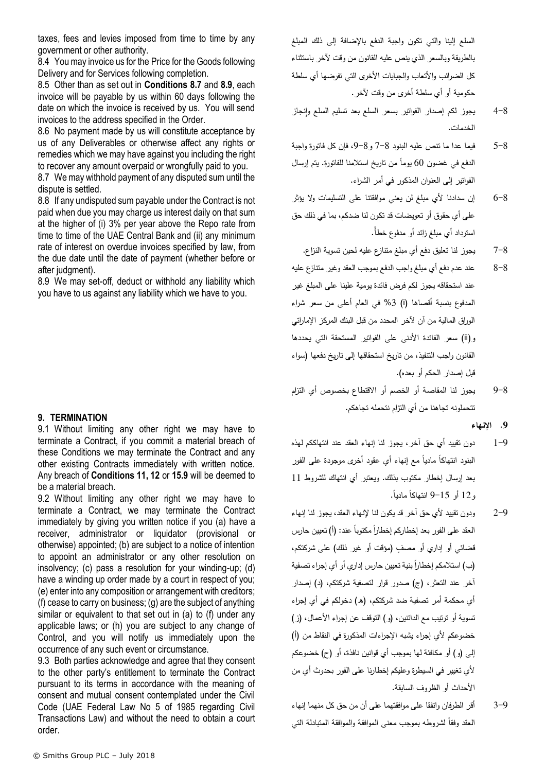taxes, fees and levies imposed from time to time by any government or other authority.

8.4 You may invoice us for the Price for the Goods following Delivery and for Services following completion.

8.5 Other than as set out in **Conditions [8.7](#page-8-0)** and **[8.9](#page-8-1)**, each invoice will be payable by us within 60 days following the date on which the invoice is received by us. You will send invoices to the address specified in the Order.

8.6 No payment made by us will constitute acceptance by us of any Deliverables or otherwise affect any rights or remedies which we may have against you including the right to recover any amount overpaid or wrongfully paid to you.

<span id="page-8-0"></span>8.7 We may withhold payment of any disputed sum until the dispute is settled.

8.8 If any undisputed sum payable under the Contract is not paid when due you may charge us interest daily on that sum at the higher of (i) 3% per year above the Repo rate from time to time of the UAE Central Bank and (ii) any minimum rate of interest on overdue invoices specified by law, from the due date until the date of payment (whether before or after judgment).

<span id="page-8-1"></span>8.9 We may set-off, deduct or withhold any liability which you have to us against any liability which we have to you.

## **9. TERMINATION**

9.1 Without limiting any other right we may have to terminate a Contract, if you commit a material breach of these Conditions we may terminate the Contract and any other existing Contracts immediately with written notice. Any breach of **Conditions 11, 12** or **[15.9](#page-12-0)** will be deemed to be a material breach.

9.2 Without limiting any other right we may have to terminate a Contract, we may terminate the Contract immediately by giving you written notice if you (a) have a receiver, administrator or liquidator (provisional or otherwise) appointed; (b) are subject to a notice of intention to appoint an administrator or any other resolution on insolvency; (c) pass a resolution for your winding-up; (d) have a winding up order made by a court in respect of you; (e) enter into any composition or arrangement with creditors; (f) cease to carry on business; (g) are the subject of anything similar or equivalent to that set out in (a) to (f) under any applicable laws; or (h) you are subject to any change of Control, and you will notify us immediately upon the occurrence of any such event or circumstance.

9.3 Both parties acknowledge and agree that they consent to the other party's entitlement to terminate the Contract pursuant to its terms in accordance with the meaning of consent and mutual consent contemplated under the Civil Code (UAE Federal Law No 5 of 1985 regarding Civil Transactions Law) and without the need to obtain a court order.

السلع إلينا والتي تكون واجبة الدفع باإلضافة إلى ذلك المبلغ بالطريقة وبالسعر الذي ينص عليه القانون من وقت آلخر باستثناء كل الضرائب والأتعاب والجبايات الأخرى التي تفرضها أي سلطة حكومية أو أي سلطة أخرى من وقت آلخر.

- 4-8 يجوز لكم إصدار الفواتير بسعر السلع بعد تسليم السلع وانجاز الخدمات.
- 5-8 فيما عدا ما تنص عليه البنود 7-8 و،9-8 فإن كل فاتورة واجبة الدفع في غضون 60 يوماً من تاريخ استلامنا للفاتورة. يتم إرسال الفواتير إلى العنوان المذكور في أمر الشراء.
- 6-8 إن سدادنا ألي مبلغ لن يعني موافقتنا على التسليمات وال يؤثر على أي حقوق أو تعويضات قد تكون لنا ضدكم، بما في ذلك حق استرداد أي مبلغ زائد أو مدفوع خطأ.ً
	- 7-8 يجوز لنا تعليق دفع أي مبلغ متنازع عليه لحين تسوية النزاع.
- 8-8 عند عدم دفع أي مبلغ واجب الدفع بموجب العقد وغير متنازع عليه عند استحقاقه يجوز لكم فرض فائدة يومية علينا على المبلغ غير المدفوع بنسبة أقصاها )i )%3 في العام أعلى من سعر شراء الوراق المالية من آن آلخر المحدد من قبل البنك المركز اإلماراتي و)ii )سعر الفائدة األدنى على الفواتير المستحقة التي يحددها القانون واجب التنفيذ، من تاريخ استحقاقها إلى تاريخ دفعها )سواء قبل إصدار الحكم أو بعده).
- 9-8 يجوز لنا المقاصة أو الخصم أو االقتطاع بخصوص أي التزام تتحملونه تجاهنا من أي التزام نتحمله تجاهكم.

#### **.9 اإلنهاء**

- 1-9 دون تقييد أي حق آخر، يجوز لنا إنهاء العقد عند انتهاككم لهذه البنود انتهاكا ماديا مع إنهاء أي عقود أخرى موجودة على الفور بعد إرسال إخطار مكتوب بذلك. ويعتبر أي انتهاك للشروط 11 .ً ً ماديا و12 أو 9-15 انتهاكا
- 2-9 ودون تقييد ألي حق آخر قد يكون لنا إلنهاء العقد، يجوز لنا إنهاء العقد على الفور بعد إخطاركم إخطارا مكتوبا عند: (أ) تعيين حارس قضائي أو إداري أو مصف (مؤقت أو غير ذلك) على شركتكم، (ب) استلامكم إخطاراً بنية تعيين حارس إداري أو أي إجراء تصفية آخر عند التعثر، )ج( صدور قرار لتصفية شركتكم، )د( إصدار أي محكمة أمر تصفية ضد شركتكم، (هـ) دخولكم في أي إجراء تسوية أو ترتيب مع الدائنين، (و ) التوقف عن إجراء الأعمال، (ز ) خضوعكم لأي إجراء يشبه الإجراءات المذكورة في النقاط من (أ) إلى )و( أو مكافئة لها بموجب أي قوانين نافذة، أو )ح( خضوعكم ألي تغيير في السيطرة وعليكم إخطارنا على الفور بحدوث أي من األحداث أو الظروف السابقة.
- 3-9 أقر الطرفان واتفقا على موافقتهما على أن من حق كل منهما إنهاء العقد وفقاً لشروطه بموجب معنى الموافقة والموافقة المتبادلة التي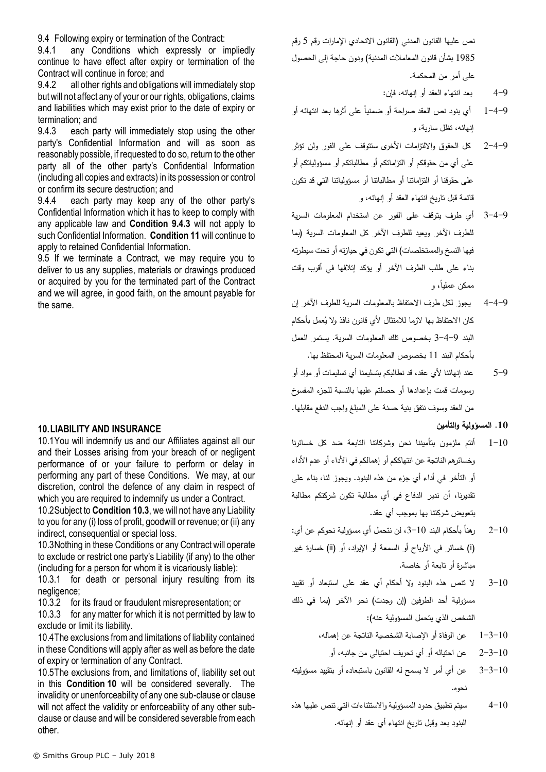9.4 Following expiry or termination of the Contract:

9.4.1 any Conditions which expressly or impliedly continue to have effect after expiry or termination of the Contract will continue in force; and

9.4.2 all other rights and obligations will immediately stop but will not affect any of your or our rights, obligations, claims and liabilities which may exist prior to the date of expiry or termination; and

<span id="page-9-0"></span>9.4.3 each party will immediately stop using the other party's Confidential Information and will as soon as reasonably possible, if requested to do so, return to the other party all of the other party's Confidential Information (including all copies and extracts) in its possession or control or confirm its secure destruction; and

9.4.4 each party may keep any of the other party's Confidential Information which it has to keep to comply with any applicable law and **Condition [9.4.3](#page-9-0)** will not apply to such Confidential Information. **Condition [11](#page-10-0)** will continue to apply to retained Confidential Information.

9.5 If we terminate a Contract, we may require you to deliver to us any supplies, materials or drawings produced or acquired by you for the terminated part of the Contract and we will agree, in good faith, on the amount payable for the same.

## <span id="page-9-2"></span>**10.LIABILITY AND INSURANCE**

10.1You will indemnify us and our Affiliates against all our and their Losses arising from your breach of or negligent performance of or your failure to perform or delay in performing any part of these Conditions. We may, at our discretion, control the defence of any claim in respect of which you are required to indemnify us under a Contract.

10.2Subject to **Condition [10.3](#page-9-1)**, we will not have any Liability to you for any (i) loss of profit, goodwill or revenue; or (ii) any indirect, consequential or special loss.

<span id="page-9-1"></span>10.3Nothing in these Conditions or any Contract will operate to exclude or restrict one party's Liability (if any) to the other (including for a person for whom it is vicariously liable):

10.3.1 for death or personal injury resulting from its negligence;

10.3.2 for its fraud or fraudulent misrepresentation; or

10.3.3 for any matter for which it is not permitted by law to exclude or limit its liability.

10.4The exclusions from and limitations of liability contained in these Conditions will apply after as well as before the date of expiry or termination of any Contract.

10.5The exclusions from, and limitations of, liability set out in this **Condition [10](#page-9-2)** will be considered severally. The invalidity or unenforceability of any one sub-clause or clause will not affect the validity or enforceability of any other subclause or clause and will be considered severable from each other.

نص عليها القانون المدني (القانون الاتحادي الإمارات رقم 5 رقم 1985 بشأن قانون المعاملات المدنية) ودون حاجة إلى الحصول على أمر من المحكمة.

- 4-9 بعد انتهاء العقد أو إنهائه، فإن:
- 1−4−9 ٪ أي بنود نص العقد صراحة أو ضمنيا على أثرها بعد انتهائه أو إنهائه، تظل سارية، و
- 2-4-9 كل الحقوق وااللتزامات األخرى ستتوقف على الفور ولن تؤثر على أي من حقوقكم أو التزاماتكم أو مطالباتكم أو مسؤولياتكم أو على حقوقنا أو التزاماتنا أو مطالباتنا أو مسؤولياتنا التي قد تكون قائمة قبل تاريخ انتهاء العقد أو إنهائه، و
- 3-4-9 أي طرف يتوقف على الفور عن استخدام المعلومات السرية للطرف الآخر ويعيد للطرف الآخر كل المعلومات السرية (بما فيها النسخ والمستخلصات) التي تكون في حيازته أو تحت سيطرته بناء على طلب الطرف اآلخر أو يؤكد إتالفها في أقرب وقت ممكن عمليا، و
- 4-4-9 يجوز لكل طرف االحتفاظ بالمعلومات السرية للطرف اآلخر إن كان الاحتفاظ بـها لازما للامتثال لأي قانون نافذ ولا يُعمل بأحكام البند 3-4-9 بخصوص تلك المعلومات السرية. يستمر العمل بأحكام البند 11 بخصوص المعلومات السرية المحتفظ بها.
- 5-9 عند إنهائنا ألي عقد، قد نطالبكم بتسليمنا أي تسليمات أو مواد أو رسومات قمت بإعدادها أو حصلتم عليها بالنسبة للجزء المفسوخ من العقد وسوف نتفق بنية حسنة على المبلغ واجب الدفع مقابلها.

**.10 المسؤولية والتأمين**

- 1-10 أنتم ملزمون بتأميننا نحن وشركاتنا التابعة ضد كل خسائرنا وخسائرهم الناتجة عن انتهاككم أو إهمالكم في األداء أو عدم األداء أو التأخر في أداء أي جزء من هذه البنود. ويجوز لنا، بناء على تقديرنا، أن ندير الدفاع في أي مطالبة تكون شركتكم مطالبة بتعويض شركتنا بها بموجب أي عقد.
- رهناً بأحكام البند 10–3، لن نتحمل أي مسؤولية نحوكم عن أي:  $2 - 10$ )i )خسائر في األرباح أو السمعة أو اإليراد، أو )ii )خسارة غير مباشرة أو تابعة أو خاصة.
- 3-10 ال تنص هذه البنود وال أحكام أي عقد على استبعاد أو تقييد مسؤولية أحد الطرفين (إن وجدت) نحو الآخر (بما في ذلك الشخص الذي يتحمل المسؤولية عنه(:
	- 1-3-10 عن الوفاة أو اإلصابة الشخصية الناتجة عن إهماله،
		- 2-3-10 عن احتياله أو أي تحريف احتيالي من جانبه، أو
- 3-3-10 عن أي أمر ال يسمح له القانون باستبعاده أو بتقييد مسؤوليته نحوه.
- 4-10 سيتم تطبيق حدود المسؤولية واالستثناءات التي تنص عليها هذه البنود بعد وقبل تاريخ انتهاء أي عقد أو إنهائه.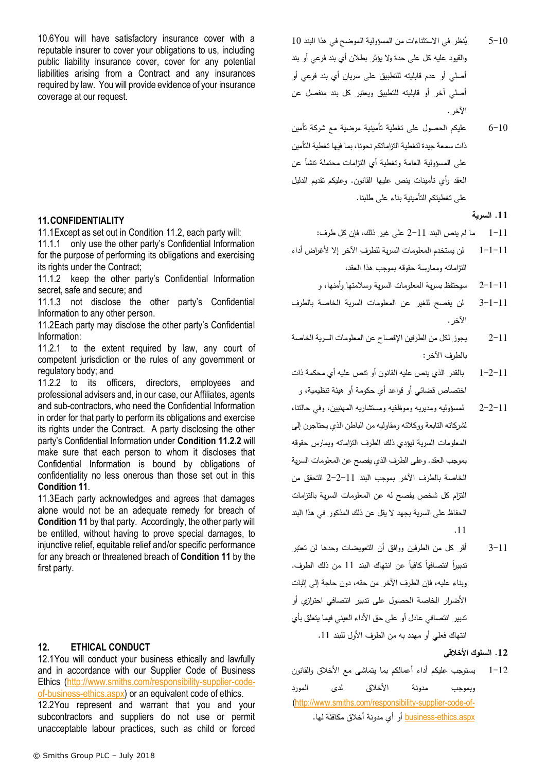10.6You will have satisfactory insurance cover with a reputable insurer to cover your obligations to us, including public liability insurance cover, cover for any potential liabilities arising from a Contract and any insurances required by law. You will provide evidence of your insurance coverage at our request.

## <span id="page-10-0"></span>**11.CONFIDENTIALITY**

11.1Except as set out in Condition [11.2,](#page-10-1) each party will:

11.1.1 only use the other party's Confidential Information for the purpose of performing its obligations and exercising its rights under the Contract;

11.1.2 keep the other party's Confidential Information secret, safe and secure; and

11.1.3 not disclose the other party's Confidential Information to any other person.

<span id="page-10-1"></span>11.2Each party may disclose the other party's Confidential Information:

11.2.1 to the extent required by law, any court of competent jurisdiction or the rules of any government or regulatory body; and

<span id="page-10-2"></span>11.2.2 to its officers, directors, employees and professional advisers and, in our case, our Affiliates, agents and sub-contractors, who need the Confidential Information in order for that party to perform its obligations and exercise its rights under the Contract. A party disclosing the other party's Confidential Information under **Condition [11.2.2](#page-10-2)** will make sure that each person to whom it discloses that Confidential Information is bound by obligations of confidentiality no less onerous than those set out in this **Condition [11](#page-10-0)**.

11.3Each party acknowledges and agrees that damages alone would not be an adequate remedy for breach of **Condition [11](#page-10-0)** by that party. Accordingly, the other party will be entitled, without having to prove special damages, to injunctive relief, equitable relief and/or specific performance for any breach or threatened breach of **Conditio[n 11](#page-10-0)** by the first party.

# <span id="page-10-3"></span>**12. ETHICAL CONDUCT**

12.1You will conduct your business ethically and lawfully and in accordance with our Supplier Code of Business Ethics [\(http://www.smiths.com/responsibility-supplier-code](http://www.smiths.com/responsibility-supplier-code-of-business-ethics.aspx)[of-business-ethics.aspx\)](http://www.smiths.com/responsibility-supplier-code-of-business-ethics.aspx) or an equivalent code of ethics.

12.2You represent and warrant that you and your subcontractors and suppliers do not use or permit unacceptable labour practices, such as child or forced 6-10 عليكم الحصول على تغطية تأمينية مرضية مع شركة تأمين ذات سمعة جيدة لتغطية التزاماتكم نحونا، بما فيها تغطية التأمين على المسؤولية العامة وتغطية أي التزامات محتملة تنشأ عن العقد وأي تأمينات ينص عليها القانون. وعليكم تقديم الدليل على تغطيتكم التأمينية بناء على طلبنا.

#### **.11 السرية**

- 1-11 ما لم ينص البند 2-11 على غير ذلك، فإن كل طرف:
- 1-1-11 لن يستخدم المعلومات السرية للطرف اآلخر إال ألغراض أداء التزاماته وممارسة حقوقه بموجب هذا العقد،
	- 2-1-11 سيحتفظ بسرية المعلومات السرية وسالمتها وأمنها، و
- 3-1-11 لن يفصح للغير عن المعلومات السرية الخاصة بالطرف الآخر .
- 2-11 يجوز لكل من الطرفين اإلفصاح عن المعلومات السرية الخاصة بالطرف اآلخر:
- 1-2-11 بالقدر الذي ينص عليه القانون أو تنص عليه أي محكمة ذات اختصاص قضائي أو قواعد أي حكومة أو هيئة تنظيمية، و
- 2-2-11 لمسؤوليه ومديريه وموظفيه ومستشاريه المهنيين، وفي حالتنا، لشركاته التابعة ووكالئه ومقاوليه من الباطن الذي يحتاجون إلى المعلومات السرية ليؤدي ذلك الطرف التزاماته ويمارس حقوقه بموجب العقد. وعلى الطرف الذي يفصح عن المعلومات السرية الخاصة بالطرف اآلخر بموجب البند 2-2-11 التحقق من التزام كل شخص يفصح له عن المعلومات السرية بالتزامات الحفاظ على السرية بجهد ال يقل عن ذلك المذكور في هذا البند .11
- 3-11 أقر كل من الطرفين ووافق أن التعويضات وحدها لن تعتبر تدبيرا انتصـافيا كافيا عن انتهاك البند 11 من ذلك الطرف. وبناء عليه، فإن الطرف اآلخر من حقه، دون حاجة إلى إثبات األضرار الخاصة الحصول على تدبير انتصافي احترازي أو تدبير انتصافي عادل أو على حق األداء العيني فيما يتعلق بأي انتهاك فعلي أو مهدد به من الطرف األول للبند .11

#### **.12 السلوك األخالقي**

1-12 يستوجب عليكم أداء أعمالكم بما يتماشى مع األخالق والقانون وبموجب مدونة األخالق لدى المورد [\(http://www.smiths.com/responsibility-supplier-code-of](http://www.smiths.com/responsibility-supplier-code-of-business-ethics.aspx) [aspx.ethics-business](http://www.smiths.com/responsibility-supplier-code-of-business-ethics.aspx) أو أي مدونة أخالق مكافئة لها.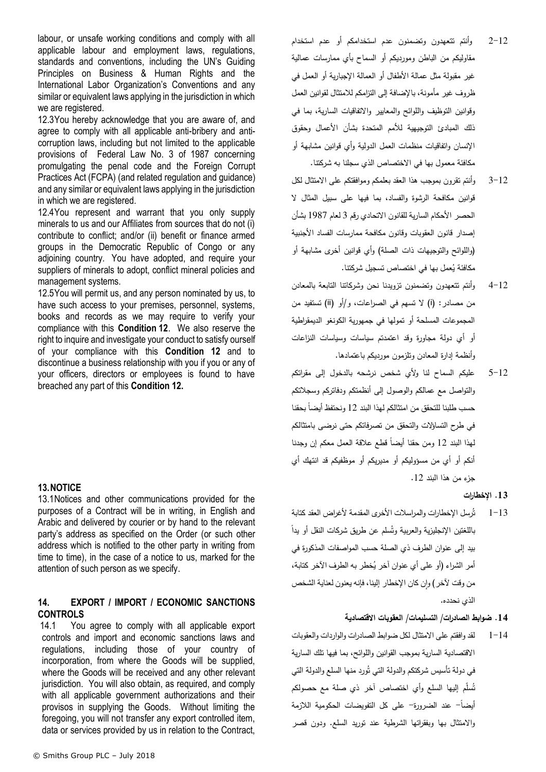labour, or unsafe working conditions and comply with all applicable labour and employment laws, regulations, standards and conventions, including the UN's Guiding Principles on Business & Human Rights and the International Labor Organization's Conventions and any similar or equivalent laws applying in the jurisdiction in which we are registered.

12.3You hereby acknowledge that you are aware of, and agree to comply with all applicable anti-bribery and anticorruption laws, including but not limited to the applicable provisions of Federal Law No. 3 of 1987 concerning promulgating the penal code and the Foreign Corrupt Practices Act (FCPA) (and related regulation and guidance) and any similar or equivalent laws applying in the jurisdiction in which we are registered.

12.4You represent and warrant that you only supply minerals to us and our Affiliates from sources that do not (i) contribute to conflict; and/or (ii) benefit or finance armed groups in the Democratic Republic of Congo or any adjoining country. You have adopted, and require your suppliers of minerals to adopt, conflict mineral policies and management systems.

12.5You will permit us, and any person nominated by us, to have such access to your premises, personnel, systems, books and records as we may require to verify your compliance with this **Condition [12](#page-10-3)**. We also reserve the right to inquire and investigate your conduct to satisfy ourself of your compliance with this **Condition [12](#page-10-3)** and to discontinue a business relationship with you if you or any of your officers, directors or employees is found to have breached any part of this **Condition [12.](#page-10-3)** 

## **13.NOTICE**

13.1Notices and other communications provided for the purposes of a Contract will be in writing, in English and Arabic and delivered by courier or by hand to the relevant party's address as specified on the Order (or such other address which is notified to the other party in writing from time to time), in the case of a notice to us, marked for the attention of such person as we specify.

### <span id="page-11-0"></span>**14. EXPORT / IMPORT / ECONOMIC SANCTIONS CONTROLS**

14.1 You agree to comply with all applicable export controls and import and economic sanctions laws and regulations, including those of your country of incorporation, from where the Goods will be supplied, where the Goods will be received and any other relevant jurisdiction. You will also obtain, as required, and comply with all applicable government authorizations and their provisos in supplying the Goods. Without limiting the foregoing, you will not transfer any export controlled item, data or services provided by us in relation to the Contract,

- 2-12 وأنتم تتعهدون وتضمنون عدم استخدامكم أو عدم استخدام مقاوليكم من الباطن ومورديكم أو السماح بأي ممارسات عمالية غير مقبولة مثل عمالة األطفال أو العمالة اإلجبارية أو العمل في ظروف غير مأمونة، باإلضافة إلى التزامكم لالمتثال لقوانين العمل وقوانين التوظيف واللوائح والمعايير واالتفاقيات السارية، بما في ذلك المبادئ التوجيهية لألمم المتحدة بشأن األعمال وحقوق اإلنسان واتفاقيات منظمات العمل الدولية وأي قوانين مشابهة أو مكافئة معمول بها في االختصاص الذي سجلنا به شركتنا.
- 3-12 وأنتم تقرون بموجب هذا العقد بعلمكم وموافقتكم على االمتثال لكل قوانين مكافحة الرشوة والفساد، بما فيها على سبيل المثال ال الحصر الأحكام السارية للقانون الاتحادي رقم 3 لعام 1987 بشأن إصدار قانون العقوبات وقانون مكافحة ممارسات الفساد األجنبية )واللوائح والتوجيهات ذات الصلة( وأي قوانين أخرى مشابهة أو مكافئة يُعمل بها في اختصاص تسجيل شركتنا.<br>.
- 4-12 وأنتم تتعهدون وتضمنون تزويدنا نحن وشركاتنا التابعة بالمعادن من مصادر: )i )ال تسهم في الصراعات، و/أو )ii )تستفيد من المجموعات المسلحة أو تمولها في جمهورية الكونغو الديمقراطية أو أي دولة مجاورة وقد اعتمدتم سياسات وسياسات النزاعات وأنظمة إدارة المعادن وتلزمون مورديكم باعتمادها.
- 5-12 عليكم السماح لنا وألي شخص نرشحه بالدخول إلى مقراتكم والتواصل مع عمالكم والوصول إلى أنظمتكم ودفاتركم وسجالتكم حسب طلبنا للتحقق من امتثالكم لهذا البند 12 ونحتفظ أيضا بحقنا في طرح التساؤالت والتحقق من تصرفاتكم حتى نرضى بامتثالكم لهذا البند 12 ومن حقنا أيضا قطع علاقة العمل معكم إن وجدنا أنكم أو أي من مسؤوليكم أو مديريكم أو موظفيكم قد انتهك أي جزء من هذا البند .12

#### **.13 اإلخطارات**

ثُرسل الإخطارات والمراسلات الأخرى المقدمة لأغراض العقد كتابة  $1 - 13$ باللغتين الإنجليزية والعربية وتُسلم عن طريق شركات النقل أو يدا بيد إلى عنوان الطرف ذي الصلة حسب المواصفات المذكورة في أمر الشراء (أو على أي عنوان أخر يُخطر به الطرف الأخر كتابة، من وقت لآخر ) وان كان الإخطار إلينا، فإنه يعنون لعناية الشخص الذي نحدده.

## **.14 ضوابط الصادرات/ التسليمات/ العقوبات االقتصادية**

1-14 لقد وافقتم على االمتثال لكل ضوابط الصادرات والواردات والعقوبات االقتصادية السارية بموجب القوانين واللوائح، بما فيها تلك السارية في دولة تأسيس شركتكم والدولة التي تُورد منها السلع والدولة التي ُس ّم إليها السلع وأي اختصاص آخر ذي صلة مع حصولكم ت ل أيضا- عند الضرورة- على كل التفويضات الحكومية الالزمة ً واالمتثال بها وبفقراتها الشرطية عند توريد السلع. ودون قصر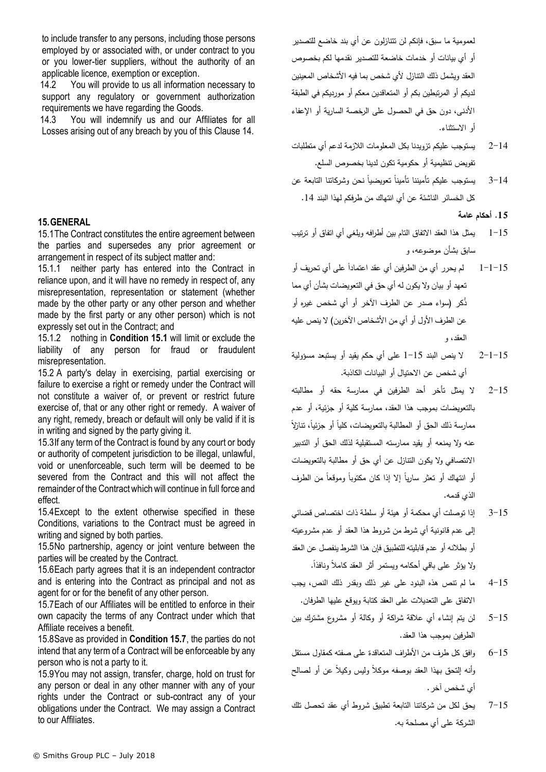to include transfer to any persons, including those persons employed by or associated with, or under contract to you or you lower-tier suppliers, without the authority of an applicable licence, exemption or exception.

14.2 You will provide to us all information necessary to support any regulatory or government authorization requirements we have regarding the Goods.

14.3 You will indemnify us and our Affiliates for all Losses arising out of any breach by you of this Clause [14.](#page-11-0)

## **15.GENERAL**

<span id="page-12-1"></span>15.1The Contract constitutes the entire agreement between the parties and supersedes any prior agreement or arrangement in respect of its subject matter and:

15.1.1 neither party has entered into the Contract in reliance upon, and it will have no remedy in respect of, any misrepresentation, representation or statement (whether made by the other party or any other person and whether made by the first party or any other person) which is not expressly set out in the Contract; and

15.1.2 nothing in **Condition [15.1](#page-12-1)** will limit or exclude the liability of any person for fraud or fraudulent misrepresentation.

15.2 A party's delay in exercising, partial exercising or failure to exercise a right or remedy under the Contract will not constitute a waiver of, or prevent or restrict future exercise of, that or any other right or remedy. A waiver of any right, remedy, breach or default will only be valid if it is in writing and signed by the party giving it.

15.3If any term of the Contract is found by any court or body or authority of competent jurisdiction to be illegal, unlawful, void or unenforceable, such term will be deemed to be severed from the Contract and this will not affect the remainder of the Contract which will continue in full force and effect.

15.4Except to the extent otherwise specified in these Conditions, variations to the Contract must be agreed in writing and signed by both parties.

15.5No partnership, agency or joint venture between the parties will be created by the Contract.

15.6Each party agrees that it is an independent contractor and is entering into the Contract as principal and not as agent for or for the benefit of any other person.

<span id="page-12-2"></span>15.7Each of our Affiliates will be entitled to enforce in their own capacity the terms of any Contract under which that Affiliate receives a benefit.

15.8Save as provided in **Condition [15.7](#page-12-2)**, the parties do not intend that any term of a Contract will be enforceable by any person who is not a party to it.

<span id="page-12-0"></span>15.9You may not assign, transfer, charge, hold on trust for any person or deal in any other manner with any of your rights under the Contract or sub-contract any of your obligations under the Contract. We may assign a Contract to our Affiliates.

لعمومية ما سبق، فإنكم لن تتنازلون عن أي بند خاضع للتصدير أو أي بيانات أو خدمات خاضعة للتصدير نقدمها لكم بخصوص العقد ويشمل ذلك النتازل لأي شخص بما فيه الأشخاص المعينين لديكم أو المرتبطين بكم أو المتعاقدين معكم أو مورديكم في الطبقة األدنى، دون حق في الحصول على الرخصة السارية أو اإلعفاء أو االستثناء.

- 2-14 يستوجب عليكم تزويدنا بكل المعلومات الالزمة لدعم أي متطلبات تفويض تنظيمية أو حكومية تكون لدينا بخصوص السلع.
- 3–14 ٪ يستوجب عليكم تأميننا تأمينا تعويضيا نحن وشركانتا التابعة عن كل الخسائر الناشئة عن أي انتهاك من طرفكم لهذا البند .14

**.15 أحكام عامة**

- 1-15 يمثل هذا العقد االتفاق التام بين أطرافه ويلغي أي اتفاق أو ترتيب سابق بشأن موضوعه، و
- 1−1−15 لم يحرر أي من الطرفين أي عقد اعتمادا على أي تحريف أو تعهد أو بيان وال يكون له أي حق في التعويضات بشأن أي مما ُذكر )سواء صدر عن الطرف اآلخر أو أي شخص غيره أو عن الطرف الأول أو أي من الأشخاص الآخرين) لا ينص عليه العقد، و
- 2-1-15 ال ينص البند 1-15 على أي حكم يقيد أو يستبعد مسؤولية أي شخص عن االحتيال أو البيانات الكاذبة.
- 2-15 ال يمثل تأخر أحد الطرفين في ممارسة حقه أو مطالبته بالتعويضات بموجب هذا العقد، ممارسة كلية أو جزئية، أو عدم ممارسة ذلك الحق أو المطالبة بالتعويضات، كليا أو جزئيا، نتازلا عنه وال يمنعه أو يقيد ممارسته المستقبلية لذلك الحق أو التدبير االنتصافي وال يكون التنازل عن أي حق أو مطالبة بالتعويضات أو انتهاك أو تعثَّر ساريا إلا إذا كان مكتوبا وموقعا من الطرف الذي قدمه.
- 3-15 إذا توصلت أي محكمة أو هيئة أو سلطة ذات اختصاص قضائي إلى عدم قانونية أي شرط من شروط هذا العقد أو عدم مشروعيته أو بطالنه أو عدم قابليته للتطبيق فإن هذا الشرط ينفصل عن العقد .ً وال يؤثر على باقي أحكامه ويستمر أثر العقد كامالً ونافذا
- 4-15 ما لم تنص هذه البنود على غير ذلك وبقدر ذلك النص، يجب االتفاق على التعديالت على العقد كتابة ويوقع عليها الطرفان.
- 5-15 لن يتم إنشاء أي عالقة شراكة أو وكالة أو مشروع مشترك بين الطرفين بموجب هذا العقد.
- 6-15 وافق كل طرف من األطراف المتعاقدة على صفته كمقاول مستقل وأنه إلتحق بهذا العقد بوصفه موكالً وليس وكيالً عن أو لصالح أي شخص آخر.
- 7-15 يحق لكل من شركاتنا التابعة تطبيق شروط أي عقد تحصل تلك الشركة على أي مصلحة به.